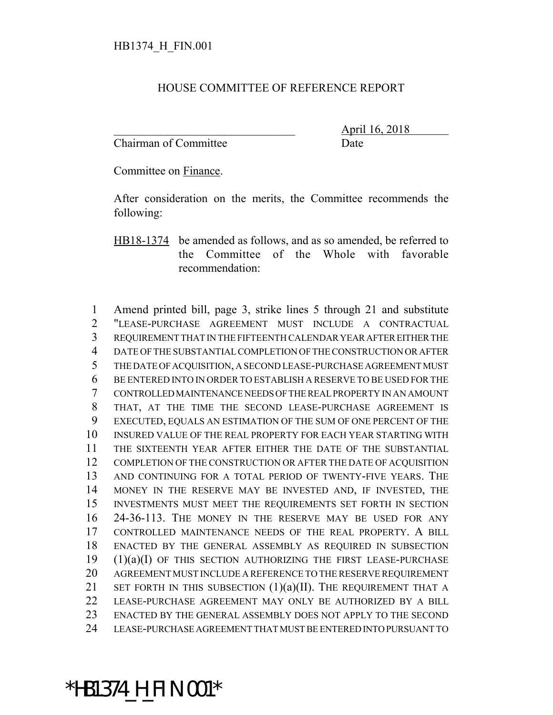## HOUSE COMMITTEE OF REFERENCE REPORT

Chairman of Committee Date

\_\_\_\_\_\_\_\_\_\_\_\_\_\_\_\_\_\_\_\_\_\_\_\_\_\_\_\_\_\_\_ April 16, 2018

Committee on Finance.

After consideration on the merits, the Committee recommends the following:

HB18-1374 be amended as follows, and as so amended, be referred to the Committee of the Whole with favorable recommendation:

 Amend printed bill, page 3, strike lines 5 through 21 and substitute "LEASE-PURCHASE AGREEMENT MUST INCLUDE A CONTRACTUAL REQUIREMENT THAT IN THE FIFTEENTH CALENDAR YEAR AFTER EITHER THE DATE OF THE SUBSTANTIAL COMPLETION OF THE CONSTRUCTION OR AFTER THE DATE OF ACQUISITION, A SECOND LEASE-PURCHASE AGREEMENT MUST BE ENTERED INTO IN ORDER TO ESTABLISH A RESERVE TO BE USED FOR THE CONTROLLED MAINTENANCE NEEDS OF THE REAL PROPERTY IN AN AMOUNT THAT, AT THE TIME THE SECOND LEASE-PURCHASE AGREEMENT IS EXECUTED, EQUALS AN ESTIMATION OF THE SUM OF ONE PERCENT OF THE INSURED VALUE OF THE REAL PROPERTY FOR EACH YEAR STARTING WITH THE SIXTEENTH YEAR AFTER EITHER THE DATE OF THE SUBSTANTIAL COMPLETION OF THE CONSTRUCTION OR AFTER THE DATE OF ACQUISITION AND CONTINUING FOR A TOTAL PERIOD OF TWENTY-FIVE YEARS. THE MONEY IN THE RESERVE MAY BE INVESTED AND, IF INVESTED, THE INVESTMENTS MUST MEET THE REQUIREMENTS SET FORTH IN SECTION 24-36-113. THE MONEY IN THE RESERVE MAY BE USED FOR ANY CONTROLLED MAINTENANCE NEEDS OF THE REAL PROPERTY. A BILL ENACTED BY THE GENERAL ASSEMBLY AS REQUIRED IN SUBSECTION (1)(a)(I) OF THIS SECTION AUTHORIZING THE FIRST LEASE-PURCHASE AGREEMENT MUST INCLUDE A REFERENCE TO THE RESERVE REQUIREMENT 21 SET FORTH IN THIS SUBSECTION  $(1)(a)(II)$ . The requirement that a LEASE-PURCHASE AGREEMENT MAY ONLY BE AUTHORIZED BY A BILL ENACTED BY THE GENERAL ASSEMBLY DOES NOT APPLY TO THE SECOND LEASE-PURCHASE AGREEMENT THAT MUST BE ENTERED INTO PURSUANT TO

## \*HB1374\_H\_FIN.001\*